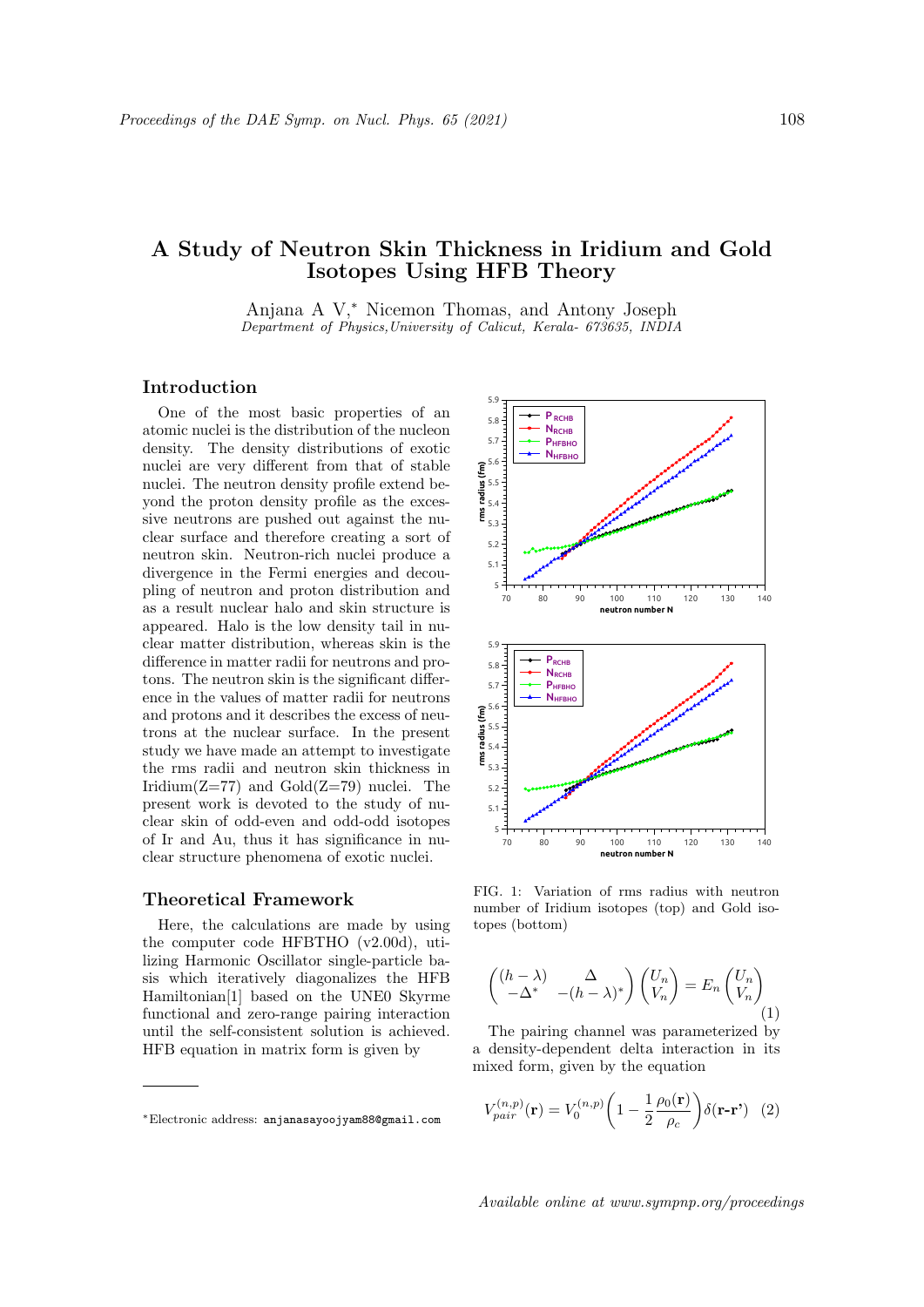# A Study of Neutron Skin Thickness in Iridium and Gold Isotopes Using HFB Theory

Anjana A V,<sup>∗</sup> Nicemon Thomas, and Antony Joseph Department of Physics,University of Calicut, Kerala- 673635, INDIA

# Introduction

One of the most basic properties of an atomic nuclei is the distribution of the nucleon density. The density distributions of exotic nuclei are very different from that of stable nuclei. The neutron density profile extend beyond the proton density profile as the excessive neutrons are pushed out against the nuclear surface and therefore creating a sort of neutron skin. Neutron-rich nuclei produce a divergence in the Fermi energies and decoupling of neutron and proton distribution and as a result nuclear halo and skin structure is appeared. Halo is the low density tail in nuclear matter distribution, whereas skin is the difference in matter radii for neutrons and protons. The neutron skin is the significant difference in the values of matter radii for neutrons and protons and it describes the excess of neutrons at the nuclear surface. In the present study we have made an attempt to investigate the rms radii and neutron skin thickness in Iridium $(Z=77)$  and  $Gold(Z=79)$  nuclei. The present work is devoted to the study of nuclear skin of odd-even and odd-odd isotopes of Ir and Au, thus it has significance in nuclear structure phenomena of exotic nuclei.

### Theoretical Framework

Here, the calculations are made by using the computer code HFBTHO (v2.00d), utilizing Harmonic Oscillator single-particle basis which iteratively diagonalizes the HFB Hamiltonian[1] based on the UNE0 Skyrme functional and zero-range pairing interaction until the self-consistent solution is achieved. HFB equation in matrix form is given by



FIG. 1: Variation of rms radius with neutron number of Iridium isotopes (top) and Gold isotopes (bottom)

$$
\begin{pmatrix}\n(h - \lambda) & \Delta \\
-\Delta^* & -(h - \lambda)^*\n\end{pmatrix}\n\begin{pmatrix}\nU_n \\
V_n\n\end{pmatrix} = E_n \begin{pmatrix}\nU_n \\
V_n\n\end{pmatrix} (1)
$$

The pairing channel was parameterized by a density-dependent delta interaction in its mixed form, given by the equation

$$
V_{pair}^{(n,p)}(\mathbf{r}) = V_0^{(n,p)} \left( 1 - \frac{1}{2} \frac{\rho_0(\mathbf{r})}{\rho_c} \right) \delta(\mathbf{r} - \mathbf{r}') \tag{2}
$$

<sup>∗</sup>Electronic address: anjanasayoojyam88@gmail.com